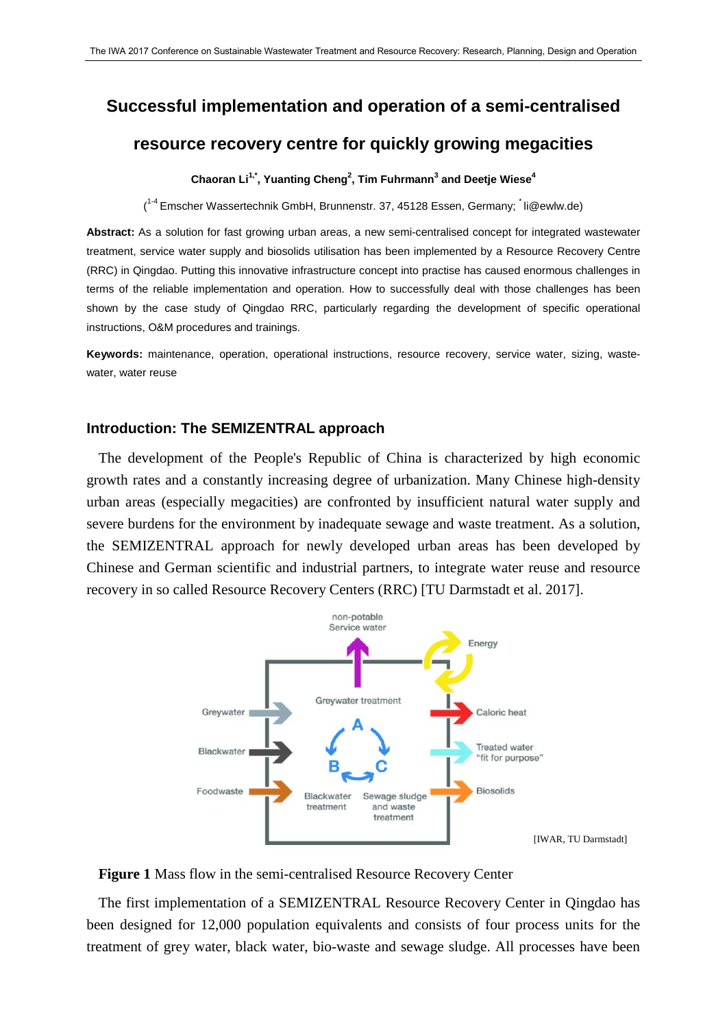# **Successful implementation and operation of a semi-centralised**

## **resource recovery centre for quickly growing megacities**

## **Chaoran Li1,\* , Yuanting Cheng<sup>2</sup> , Tim Fuhrmann<sup>3</sup> and Deetje Wiese<sup>4</sup>**

(<sup>1-4</sup> Emscher Wassertechnik GmbH, Brunnenstr. 37, 45128 Essen, Germany; <sup>\*</sup> li@ewlw.de)

**Abstract:** As a solution for fast growing urban areas, a new semi-centralised concept for integrated wastewater treatment, service water supply and biosolids utilisation has been implemented by a Resource Recovery Centre (RRC) in Qingdao. Putting this innovative infrastructure concept into practise has caused enormous challenges in terms of the reliable implementation and operation. How to successfully deal with those challenges has been shown by the case study of Qingdao RRC, particularly regarding the development of specific operational instructions, O&M procedures and trainings.

**Keywords:** maintenance, operation, operational instructions, resource recovery, service water, sizing, wastewater, water reuse

#### **Introduction: The SEMIZENTRAL approach**

The development of the People's Republic of China is characterized by high economic growth rates and a constantly increasing degree of urbanization. Many Chinese high-density urban areas (especially megacities) are confronted by insufficient natural water supply and severe burdens for the environment by inadequate sewage and waste treatment. As a solution, the SEMIZENTRAL approach for newly developed urban areas has been developed by Chinese and German scientific and industrial partners, to integrate water reuse and resource recovery in so called Resource Recovery Centers (RRC) [TU Darmstadt et al. 2017].



**Figure 1** Mass flow in the semi-centralised Resource Recovery Center

The first implementation of a SEMIZENTRAL Resource Recovery Center in Qingdao has been designed for 12,000 population equivalents and consists of four process units for the treatment of grey water, black water, bio-waste and sewage sludge. All processes have been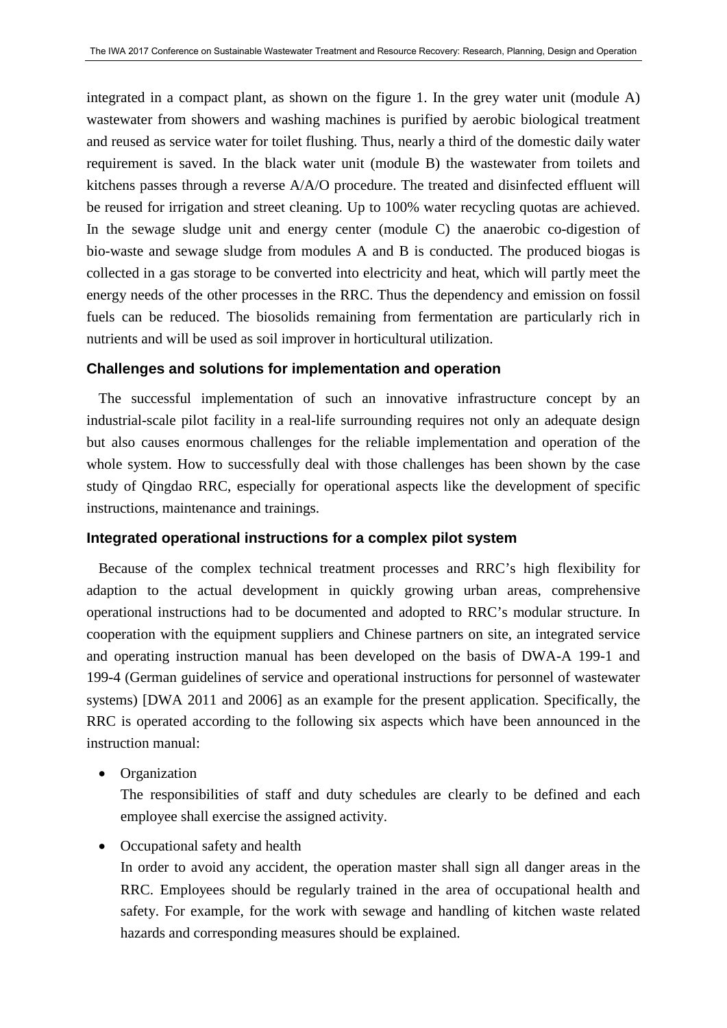integrated in a compact plant, as shown on the figure 1. In the grey water unit (module A) wastewater from showers and washing machines is purified by aerobic biological treatment and reused as service water for toilet flushing. Thus, nearly a third of the domestic daily water requirement is saved. In the black water unit (module B) the wastewater from toilets and kitchens passes through a reverse A/A/O procedure. The treated and disinfected effluent will be reused for irrigation and street cleaning. Up to 100% water recycling quotas are achieved. In the sewage sludge unit and energy center (module C) the anaerobic co-digestion of bio-waste and sewage sludge from modules A and B is conducted. The produced biogas is collected in a gas storage to be converted into electricity and heat, which will partly meet the energy needs of the other processes in the RRC. Thus the dependency and emission on fossil fuels can be reduced. The biosolids remaining from fermentation are particularly rich in nutrients and will be used as soil improver in horticultural utilization.

### **Challenges and solutions for implementation and operation**

The successful implementation of such an innovative infrastructure concept by an industrial-scale pilot facility in a real-life surrounding requires not only an adequate design but also causes enormous challenges for the reliable implementation and operation of the whole system. How to successfully deal with those challenges has been shown by the case study of Qingdao RRC, especially for operational aspects like the development of specific instructions, maintenance and trainings.

### **Integrated operational instructions for a complex pilot system**

Because of the complex technical treatment processes and RRC's high flexibility for adaption to the actual development in quickly growing urban areas, comprehensive operational instructions had to be documented and adopted to RRC's modular structure. In cooperation with the equipment suppliers and Chinese partners on site, an integrated service and operating instruction manual has been developed on the basis of DWA-A 199-1 and 199-4 (German guidelines of service and operational instructions for personnel of wastewater systems) [DWA 2011 and 2006] as an example for the present application. Specifically, the RRC is operated according to the following six aspects which have been announced in the instruction manual:

• Organization

The responsibilities of staff and duty schedules are clearly to be defined and each employee shall exercise the assigned activity.

• Occupational safety and health

In order to avoid any accident, the operation master shall sign all danger areas in the RRC. Employees should be regularly trained in the area of occupational health and safety. For example, for the work with sewage and handling of kitchen waste related hazards and corresponding measures should be explained.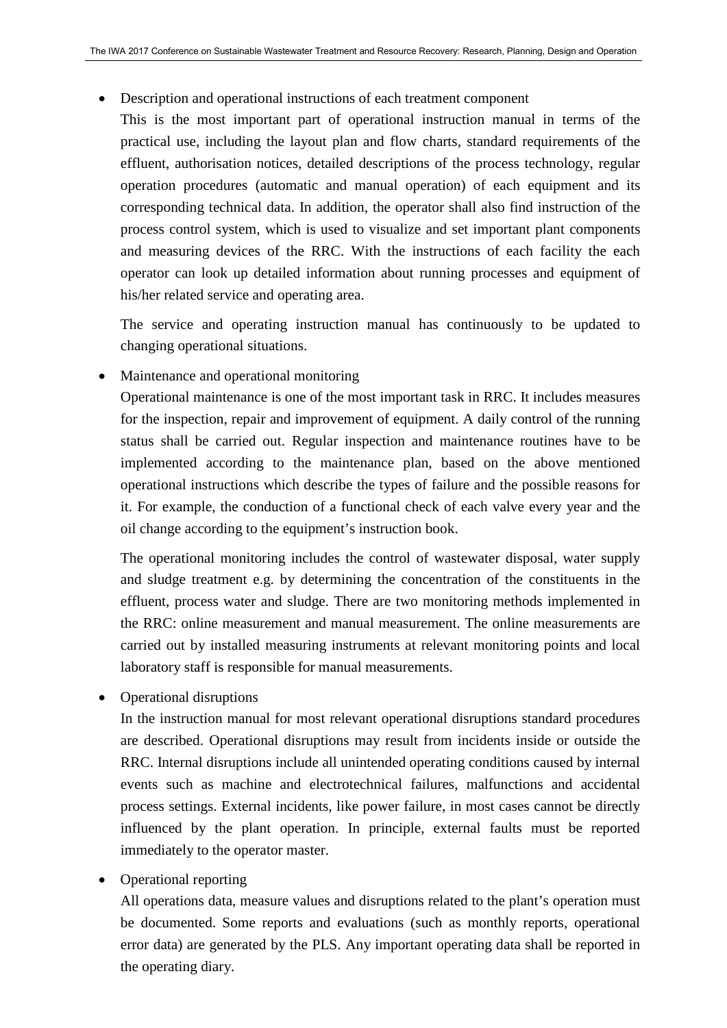- Description and operational instructions of each treatment component
	- This is the most important part of operational instruction manual in terms of the practical use, including the layout plan and flow charts, standard requirements of the effluent, authorisation notices, detailed descriptions of the process technology, regular operation procedures (automatic and manual operation) of each equipment and its corresponding technical data. In addition, the operator shall also find instruction of the process control system, which is used to visualize and set important plant components and measuring devices of the RRC. With the instructions of each facility the each operator can look up detailed information about running processes and equipment of his/her related service and operating area.

The service and operating instruction manual has continuously to be updated to changing operational situations.

• Maintenance and operational monitoring

Operational maintenance is one of the most important task in RRC. It includes measures for the inspection, repair and improvement of equipment. A daily control of the running status shall be carried out. Regular inspection and maintenance routines have to be implemented according to the maintenance plan, based on the above mentioned operational instructions which describe the types of failure and the possible reasons for it. For example, the conduction of a functional check of each valve every year and the oil change according to the equipment's instruction book.

The operational monitoring includes the control of wastewater disposal, water supply and sludge treatment e.g. by determining the concentration of the constituents in the effluent, process water and sludge. There are two monitoring methods implemented in the RRC: online measurement and manual measurement. The online measurements are carried out by installed measuring instruments at relevant monitoring points and local laboratory staff is responsible for manual measurements.

• Operational disruptions

In the instruction manual for most relevant operational disruptions standard procedures are described. Operational disruptions may result from incidents inside or outside the RRC. Internal disruptions include all unintended operating conditions caused by internal events such as machine and electrotechnical failures, malfunctions and accidental process settings. External incidents, like power failure, in most cases cannot be directly influenced by the plant operation. In principle, external faults must be reported immediately to the operator master.

• Operational reporting

All operations data, measure values and disruptions related to the plant's operation must be documented. Some reports and evaluations (such as monthly reports, operational error data) are generated by the PLS. Any important operating data shall be reported in the operating diary.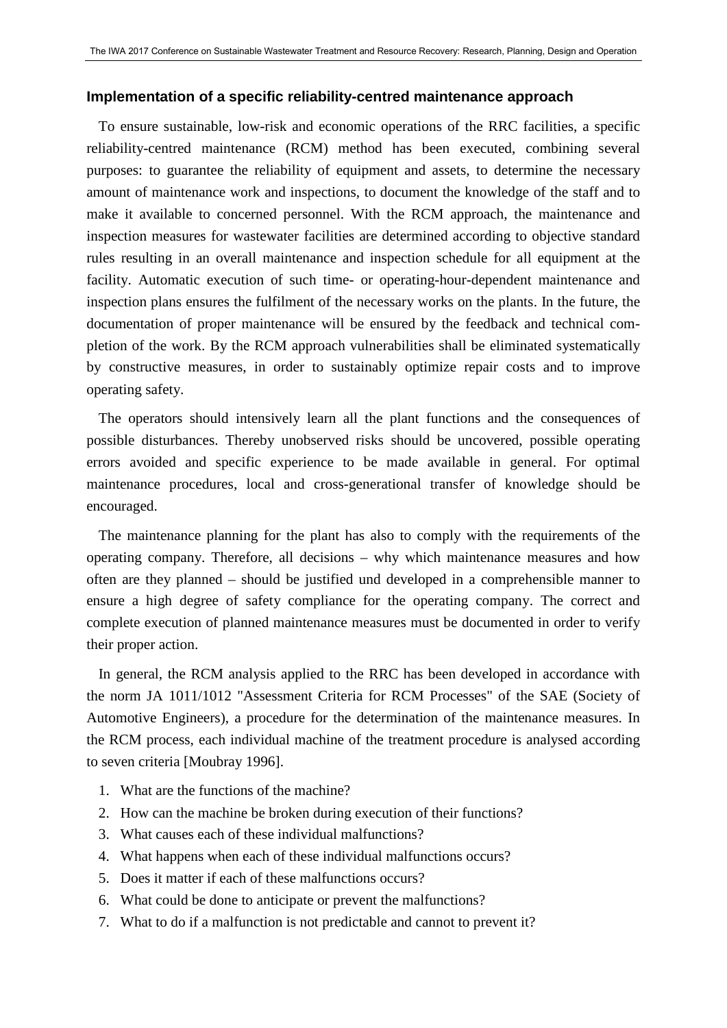#### **Implementation of a specific reliability-centred maintenance approach**

To ensure sustainable, low-risk and economic operations of the RRC facilities, a specific reliability-centred maintenance (RCM) method has been executed, combining several purposes: to guarantee the reliability of equipment and assets, to determine the necessary amount of maintenance work and inspections, to document the knowledge of the staff and to make it available to concerned personnel. With the RCM approach, the maintenance and inspection measures for wastewater facilities are determined according to objective standard rules resulting in an overall maintenance and inspection schedule for all equipment at the facility. Automatic execution of such time- or operating-hour-dependent maintenance and inspection plans ensures the fulfilment of the necessary works on the plants. In the future, the documentation of proper maintenance will be ensured by the feedback and technical completion of the work. By the RCM approach vulnerabilities shall be eliminated systematically by constructive measures, in order to sustainably optimize repair costs and to improve operating safety.

The operators should intensively learn all the plant functions and the consequences of possible disturbances. Thereby unobserved risks should be uncovered, possible operating errors avoided and specific experience to be made available in general. For optimal maintenance procedures, local and cross-generational transfer of knowledge should be encouraged.

The maintenance planning for the plant has also to comply with the requirements of the operating company. Therefore, all decisions – why which maintenance measures and how often are they planned – should be justified und developed in a comprehensible manner to ensure a high degree of safety compliance for the operating company. The correct and complete execution of planned maintenance measures must be documented in order to verify their proper action.

In general, the RCM analysis applied to the RRC has been developed in accordance with the norm JA 1011/1012 "Assessment Criteria for RCM Processes" of the SAE (Society of Automotive Engineers), a procedure for the determination of the maintenance measures. In the RCM process, each individual machine of the treatment procedure is analysed according to seven criteria [Moubray 1996].

- 1. What are the functions of the machine?
- 2. How can the machine be broken during execution of their functions?
- 3. What causes each of these individual malfunctions?
- 4. What happens when each of these individual malfunctions occurs?
- 5. Does it matter if each of these malfunctions occurs?
- 6. What could be done to anticipate or prevent the malfunctions?
- 7. What to do if a malfunction is not predictable and cannot to prevent it?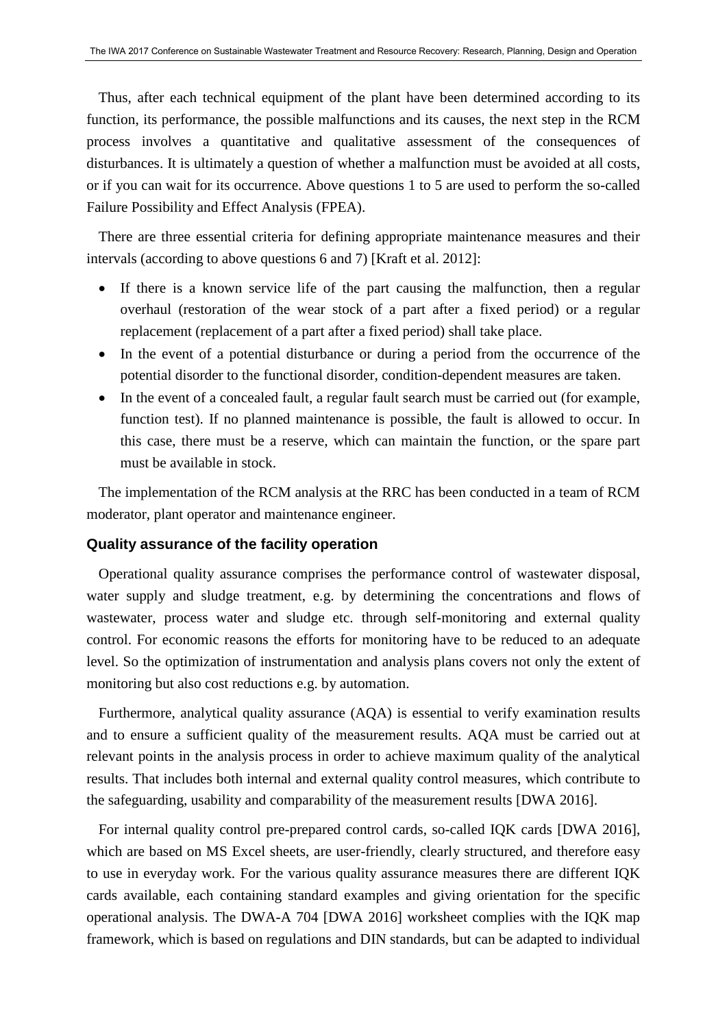Thus, after each technical equipment of the plant have been determined according to its function, its performance, the possible malfunctions and its causes, the next step in the RCM process involves a quantitative and qualitative assessment of the consequences of disturbances. It is ultimately a question of whether a malfunction must be avoided at all costs, or if you can wait for its occurrence. Above questions 1 to 5 are used to perform the so-called Failure Possibility and Effect Analysis (FPEA).

There are three essential criteria for defining appropriate maintenance measures and their intervals (according to above questions 6 and 7) [Kraft et al. 2012]:

- If there is a known service life of the part causing the malfunction, then a regular overhaul (restoration of the wear stock of a part after a fixed period) or a regular replacement (replacement of a part after a fixed period) shall take place.
- In the event of a potential disturbance or during a period from the occurrence of the potential disorder to the functional disorder, condition-dependent measures are taken.
- In the event of a concealed fault, a regular fault search must be carried out (for example, function test). If no planned maintenance is possible, the fault is allowed to occur. In this case, there must be a reserve, which can maintain the function, or the spare part must be available in stock.

The implementation of the RCM analysis at the RRC has been conducted in a team of RCM moderator, plant operator and maintenance engineer.

#### **Quality assurance of the facility operation**

Operational quality assurance comprises the performance control of wastewater disposal, water supply and sludge treatment, e.g. by determining the concentrations and flows of wastewater, process water and sludge etc. through self-monitoring and external quality control. For economic reasons the efforts for monitoring have to be reduced to an adequate level. So the optimization of instrumentation and analysis plans covers not only the extent of monitoring but also cost reductions e.g. by automation.

Furthermore, analytical quality assurance (AQA) is essential to verify examination results and to ensure a sufficient quality of the measurement results. AQA must be carried out at relevant points in the analysis process in order to achieve maximum quality of the analytical results. That includes both internal and external quality control measures, which contribute to the safeguarding, usability and comparability of the measurement results [DWA 2016].

For internal quality control pre-prepared control cards, so-called IQK cards [DWA 2016], which are based on MS Excel sheets, are user-friendly, clearly structured, and therefore easy to use in everyday work. For the various quality assurance measures there are different IQK cards available, each containing standard examples and giving orientation for the specific operational analysis. The DWA-A 704 [DWA 2016] worksheet complies with the IQK map framework, which is based on regulations and DIN standards, but can be adapted to individual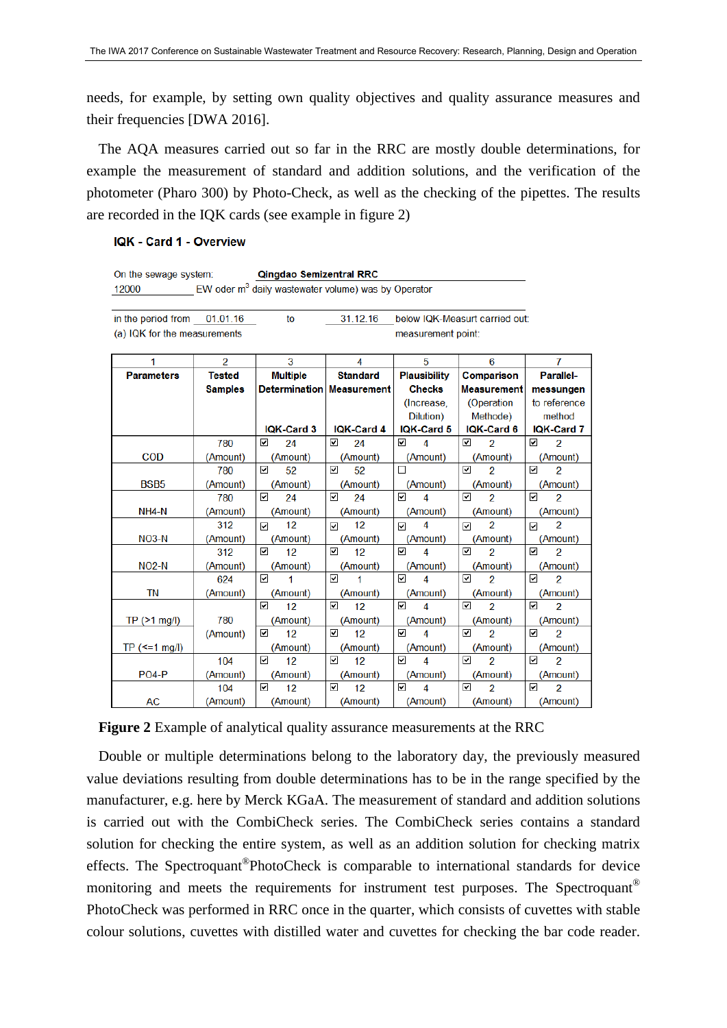needs, for example, by setting own quality objectives and quality assurance measures and their frequencies [DWA 2016].

The AQA measures carried out so far in the RRC are mostly double determinations, for example the measurement of standard and addition solutions, and the verification of the photometer (Pharo 300) by Photo-Check, as well as the checking of the pipettes. The results are recorded in the IQK cards (see example in figure 2)

## IQK - Card 1 - Overview

| On the sewage system:        |                          | Qingdao Semizentral RRC                                         |                                  |                              |                                |                               |
|------------------------------|--------------------------|-----------------------------------------------------------------|----------------------------------|------------------------------|--------------------------------|-------------------------------|
| 12000                        |                          | EW oder m <sup>3</sup> daily wastewater volume) was by Operator |                                  |                              |                                |                               |
| in the period from           | 01.01.16                 | to                                                              | 31.12.16                         |                              | below IQK-Measurt carried out: |                               |
| (a) IQK for the measurements |                          |                                                                 |                                  | measurement point:           |                                |                               |
| 1                            | $\overline{\mathcal{L}}$ | $\overline{3}$                                                  | $\overline{4}$                   | 5                            | 6                              | $\overline{7}$                |
| <b>Parameters</b>            | <b>Tested</b>            | <b>Multiple</b>                                                 | <b>Standard</b>                  | <b>Plausibility</b>          | Comparison                     | Parallel-                     |
|                              | <b>Samples</b>           |                                                                 | <b>Determination Measurement</b> | <b>Checks</b>                | <b>Measurement</b>             | messungen                     |
|                              |                          |                                                                 |                                  | (Increase,                   | (Operation                     | to reference                  |
|                              |                          |                                                                 |                                  | Dilution)                    | Methode)                       | method                        |
|                              |                          | IQK-Card 3                                                      | IQK-Card 4                       | IQK-Card 5                   | IQK-Card 6                     | <b>IQK-Card 7</b>             |
|                              | 780                      | 罓<br>24                                                         | 罓<br>24                          | 罓<br>4                       | ☑<br>$\overline{2}$            | ☑<br>$\overline{2}$           |
| <b>COD</b>                   | (Amount)                 | (Amount)                                                        | (Amount)                         | (Amount)                     | (Amount)                       | (Amount)                      |
|                              | 780                      | ☑<br>52                                                         | ☑<br>52                          | □                            | ☑<br>$\overline{2}$            | ☑<br>$\overline{2}$           |
| BSB <sub>5</sub>             | (Amount)                 | (Amount)                                                        | (Amount)                         | (Amount)                     | (Amount)                       | (Amount)                      |
|                              | 780                      | ☑<br>24                                                         | ☑<br>24                          | ☑<br>4                       | ☑<br>$\overline{2}$            | $\overline{a}$<br>☑           |
| NH4-N                        | (Amount)                 | (Amount)                                                        | (Amount)                         | (Amount)                     | (Amount)                       | (Amount)                      |
|                              | 312                      | 12<br>☑                                                         | 12<br>☑                          | 4<br>$\overline{\mathbf{v}}$ | 2<br>☑                         | $\overline{\phantom{a}}$<br>罓 |
| NO3-N                        | (Amount)                 | (Amount)                                                        | (Amount)                         | (Amount)                     | (Amount)                       | (Amount)                      |
|                              | 312                      | ☑<br>12                                                         | ☑<br>12                          | ☑<br>4                       | ☑<br>2                         | ☑<br>2                        |
| $NO2-N$                      | (Amount)                 | (Amount)                                                        | (Amount)                         | (Amount)                     | (Amount)                       | (Amount)                      |
|                              | 624                      | ☑<br>1                                                          | $\overline{\mathbf{v}}$<br>1     | ☑<br>4                       | $\overline{\mathbf{v}}$<br>2   | ☑<br>2                        |
| <b>TN</b>                    | (Amount)                 | (Amount)                                                        | (Amount)                         | (Amount)                     | (Amount)                       | (Amount)                      |
|                              |                          | ☑<br>12                                                         | ☑<br>12                          | ☑<br>4                       | ☑<br>2                         | ☑<br>2                        |
| TP(>1 mg/l)                  | 780                      | (Amount)                                                        | (Amount)                         | (Amount)                     | (Amount)                       | (Amount)                      |
|                              | (Amount)                 | ☑<br>12                                                         | ☑<br>12 <sup>12</sup>            | ☑<br>$\overline{A}$          | 罓<br>$\overline{2}$            | ☑<br>$\overline{2}$           |
| $TP$ (<=1 mg/l)              |                          | (Amount)                                                        | (Amount)                         | (Amount)                     | (Amount)                       | (Amount)                      |
|                              | 104                      | ☑<br>12                                                         | ☑<br>12                          | ☑<br>4                       | ☑<br>2                         | ☑<br>2                        |
| PO <sub>4-P</sub>            | (Amount)                 | (Amount)                                                        | (Amount)                         | (Amount)                     | (Amount)                       | (Amount)                      |
|                              | 104                      | ☑<br>12 <sup>12</sup>                                           | ☑<br>12                          | ا⊽ا<br>4                     | 2<br>☑                         | $\overline{2}$<br>☑           |
| <b>AC</b>                    | (Amount)                 | (Amount)                                                        | (Amount)                         | (Amount)                     | (Amount)                       | (Amount)                      |

**Figure 2** Example of analytical quality assurance measurements at the RRC

Double or multiple determinations belong to the laboratory day, the previously measured value deviations resulting from double determinations has to be in the range specified by the manufacturer, e.g. here by Merck KGaA. The measurement of standard and addition solutions is carried out with the CombiCheck series. The CombiCheck series contains a standard solution for checking the entire system, as well as an addition solution for checking matrix effects. The Spectroquant®PhotoCheck is comparable to international standards for device monitoring and meets the requirements for instrument test purposes. The Spectroquant® PhotoCheck was performed in RRC once in the quarter, which consists of cuvettes with stable colour solutions, cuvettes with distilled water and cuvettes for checking the bar code reader.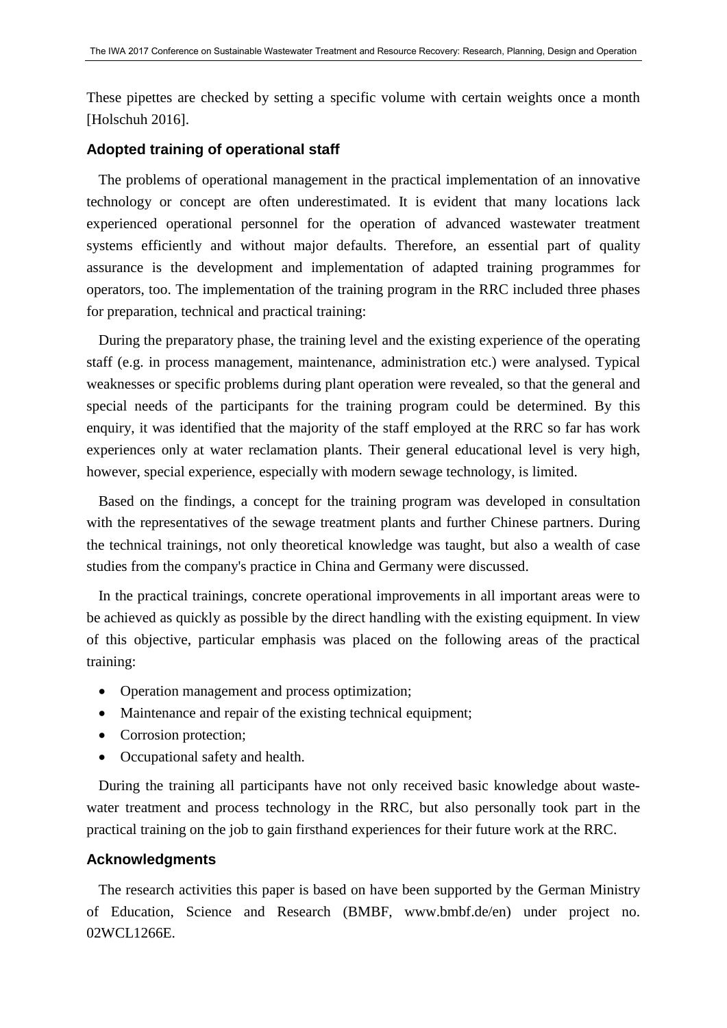These pipettes are checked by setting a specific volume with certain weights once a month [Holschuh 2016].

## **Adopted training of operational staff**

The problems of operational management in the practical implementation of an innovative technology or concept are often underestimated. It is evident that many locations lack experienced operational personnel for the operation of advanced wastewater treatment systems efficiently and without major defaults. Therefore, an essential part of quality assurance is the development and implementation of adapted training programmes for operators, too. The implementation of the training program in the RRC included three phases for preparation, technical and practical training:

During the preparatory phase, the training level and the existing experience of the operating staff (e.g. in process management, maintenance, administration etc.) were analysed. Typical weaknesses or specific problems during plant operation were revealed, so that the general and special needs of the participants for the training program could be determined. By this enquiry, it was identified that the majority of the staff employed at the RRC so far has work experiences only at water reclamation plants. Their general educational level is very high, however, special experience, especially with modern sewage technology, is limited.

Based on the findings, a concept for the training program was developed in consultation with the representatives of the sewage treatment plants and further Chinese partners. During the technical trainings, not only theoretical knowledge was taught, but also a wealth of case studies from the company's practice in China and Germany were discussed.

In the practical trainings, concrete operational improvements in all important areas were to be achieved as quickly as possible by the direct handling with the existing equipment. In view of this objective, particular emphasis was placed on the following areas of the practical training:

- Operation management and process optimization;
- Maintenance and repair of the existing technical equipment;
- Corrosion protection;
- Occupational safety and health.

During the training all participants have not only received basic knowledge about wastewater treatment and process technology in the RRC, but also personally took part in the practical training on the job to gain firsthand experiences for their future work at the RRC.

## **Acknowledgments**

The research activities this paper is based on have been supported by the German Ministry of Education, Science and Research (BMBF, [www.bmbf.de/en\)](http://www.bmbf.de/en) under project no. 02WCL1266E.